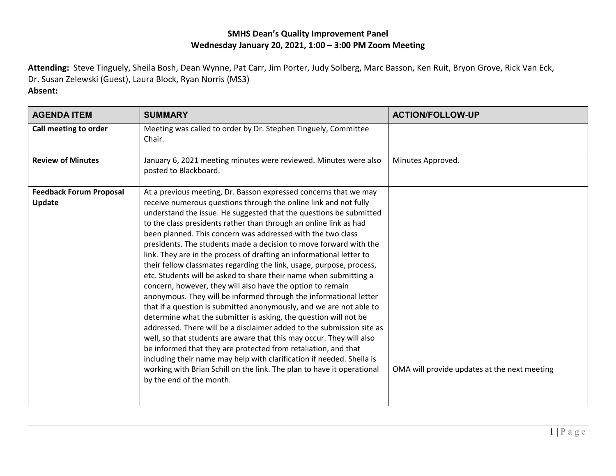## **SMHS Dean's Quality Improvement Panel Wednesday January 20, 2021, 1:00 – 3:00 PM Zoom Meeting**

**Attending:** Steve Tinguely, Sheila Bosh, Dean Wynne, Pat Carr, Jim Porter, Judy Solberg, Marc Basson, Ken Ruit, Bryon Grove, Rick Van Eck, Dr. Susan Zelewski (Guest), Laura Block, Ryan Norris (MS3)

## **Absent:**

| <b>AGENDA ITEM</b>                       | <b>SUMMARY</b>                                                                                                                                                                                                                                                                                                                                                                                                                                                                                                                                                                                                                                                                                                                                                                                                                                                                                                                                                                                                                                                                                                                                                                                                                                                                                                           | <b>ACTION/FOLLOW-UP</b>                      |
|------------------------------------------|--------------------------------------------------------------------------------------------------------------------------------------------------------------------------------------------------------------------------------------------------------------------------------------------------------------------------------------------------------------------------------------------------------------------------------------------------------------------------------------------------------------------------------------------------------------------------------------------------------------------------------------------------------------------------------------------------------------------------------------------------------------------------------------------------------------------------------------------------------------------------------------------------------------------------------------------------------------------------------------------------------------------------------------------------------------------------------------------------------------------------------------------------------------------------------------------------------------------------------------------------------------------------------------------------------------------------|----------------------------------------------|
| Call meeting to order                    | Meeting was called to order by Dr. Stephen Tinguely, Committee<br>Chair.                                                                                                                                                                                                                                                                                                                                                                                                                                                                                                                                                                                                                                                                                                                                                                                                                                                                                                                                                                                                                                                                                                                                                                                                                                                 |                                              |
| <b>Review of Minutes</b>                 | January 6, 2021 meeting minutes were reviewed. Minutes were also<br>posted to Blackboard.                                                                                                                                                                                                                                                                                                                                                                                                                                                                                                                                                                                                                                                                                                                                                                                                                                                                                                                                                                                                                                                                                                                                                                                                                                | Minutes Approved.                            |
| <b>Feedback Forum Proposal</b><br>Update | At a previous meeting, Dr. Basson expressed concerns that we may<br>receive numerous questions through the online link and not fully<br>understand the issue. He suggested that the questions be submitted<br>to the class presidents rather than through an online link as had<br>been planned. This concern was addressed with the two class<br>presidents. The students made a decision to move forward with the<br>link. They are in the process of drafting an informational letter to<br>their fellow classmates regarding the link, usage, purpose, process,<br>etc. Students will be asked to share their name when submitting a<br>concern, however, they will also have the option to remain<br>anonymous. They will be informed through the informational letter<br>that if a question is submitted anonymously, and we are not able to<br>determine what the submitter is asking, the question will not be<br>addressed. There will be a disclaimer added to the submission site as<br>well, so that students are aware that this may occur. They will also<br>be informed that they are protected from retaliation, and that<br>including their name may help with clarification if needed. Sheila is<br>working with Brian Schill on the link. The plan to have it operational<br>by the end of the month. | OMA will provide updates at the next meeting |
|                                          |                                                                                                                                                                                                                                                                                                                                                                                                                                                                                                                                                                                                                                                                                                                                                                                                                                                                                                                                                                                                                                                                                                                                                                                                                                                                                                                          |                                              |